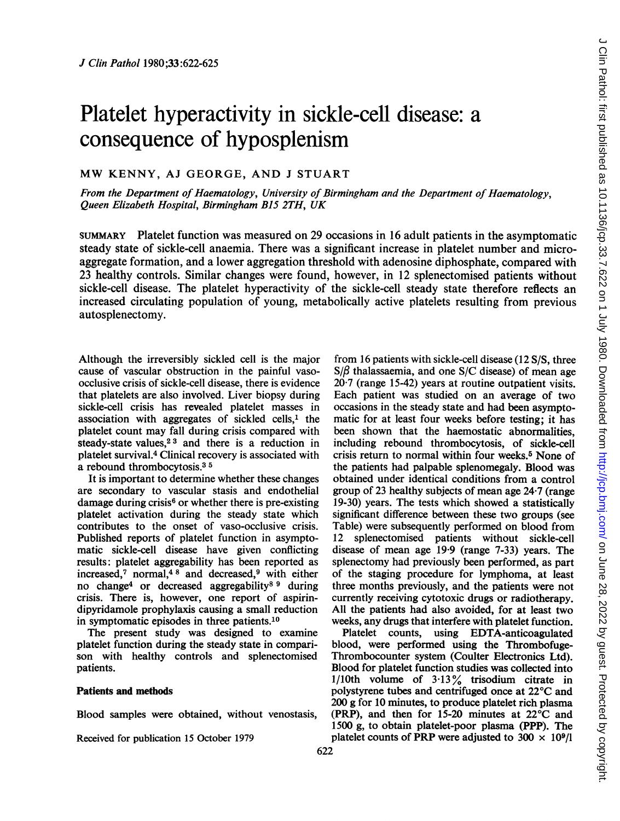# Platelet hyperactivity in sickle-cell disease: a consequence of hyposplenism

## MW KENNY, AJ GEORGE, AND <sup>J</sup> STUART

From the Department of Haematology, University of Birmingham and the Department of Haematology, Queen Elizabeth Hospital, Birmingham B15 2TH, UK

SUMMARY Platelet function was measured on 29 occasions in 16 adult patients in the asymptomatic steady state of sickle-cell anaemia. There was a significant increase in platelet number and microaggregate formation, and a lower aggregation threshold with adenosine diphosphate, compared with 23 healthy controls. Similar changes were found, however, in 12 splenectomised patients without sickle-cell disease. The platelet hyperactivity of the sickle-cell steady state therefore reflects an increased circulating population of young, metabolically active platelets resulting from previous autosplenectomy.

Although the irreversibly sickled cell is the major cause of vascular obstruction in the painful vasoocclusive crisis of sickle-cell disease, there is evidence that platelets are also involved. Liver biopsy during sickle-cell crisis has revealed platelet masses in association with aggregates of sickled cells,' the platelet count may fall during crisis compared with steady-state values, $23$  and there is a reduction in platelet survival.4 Clinical recovery is associated with a rebound thrombocytosis.3 <sup>5</sup>

It is important to determine whether these changes are secondary to vascular stasis and endothelial damage during crisis<sup>6</sup> or whether there is pre-existing platelet activation during the steady state which contributes to the onset of vaso-occlusive crisis. Published reports of platelet function in asymptomatic sickle-cell disease have given conflicting results: platelet aggregability has been reported as increased,7 normal,48 and decreased,9 with either no change4 or decreased aggregability8 <sup>9</sup> during crisis. There is, however, one report of aspirindipyridamole prophylaxis causing a small reduction in symptomatic episodes in three patients.10

The present study was designed to examine platelet function during the steady state in comparison with healthy controls and splenectomised patients.

#### Patients and methods

Blood samples were obtained, without venostasis,

Received for publication 15 October 1979

from 16 patients with sickle-cell disease (12 S/S, three  $S/\beta$  thalassaemia, and one S/C disease) of mean age  $20.7$  (range 15-42) years at routine outpatient visits. Each patient was studied on an average of two occasions in the steady state and had been asymptomatic for at least four weeks before testing; it has been shown that the haemostatic abnormalities, including rebound thrombocytosis, of sickle-cell crisis return to normal within four weeks.<sup>5</sup> None of the patients had palpable splenomegaly. Blood was obtained under identical conditions from a control group of 23 healthy subjects of mean age 24-7 (range 19-30) years. The tests which showed a statistically significant difference between these two groups (see Table) were subsequently performed on blood from 12 splenectomised patients without sickle-cell disease of mean age 19 9 (range 7-33) years. The splenectomy had previously been performed, as part of the staging procedure for lymphoma, at least three months previously, and the patients were not currently receiving cytotoxic drugs or radiotherapy. All the patients had also avoided, for at least two weeks, any drugs that interfere with platelet function.

Platelet counts, using EDTA-anticoagulated blood, were performed using the Thrombofuge-Thrombocounter system (Coulter Electronics Ltd). Blood for platelet function studies was collected into 1/10th volume of  $3.13\%$  trisodium citrate in polystyrene tubes and centrifuged once at 22°C and 200 g for 10 minutes, to produce platelet rich plasma (PRP), and then for 15-20 minutes at 22°C and 1500 g, to obtain platelet-poor plasma (PPP). The platelet counts of PRP were adjusted to  $300 \times 10^9$ /l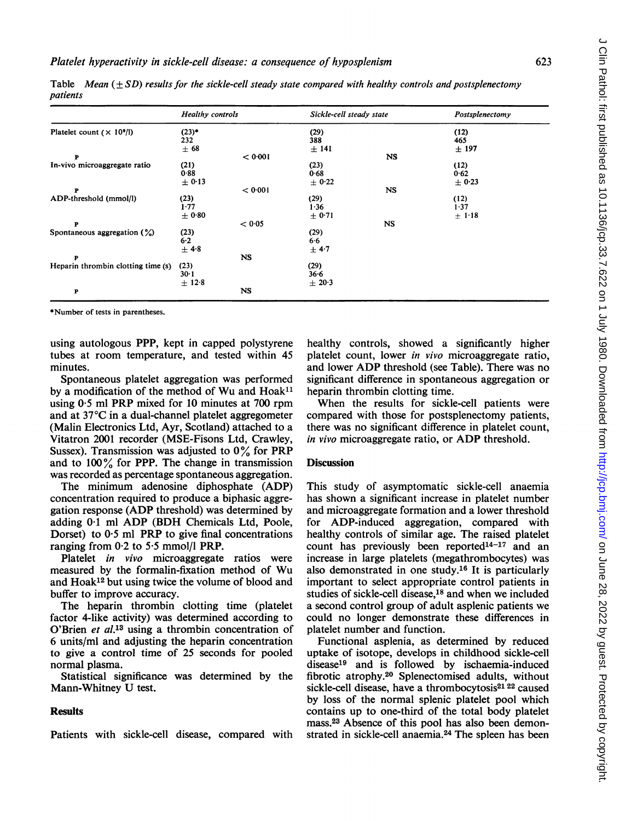|                                    | <b>Healthy controls</b> |           | Sickle-cell steady state |           | Postsplenectomy |
|------------------------------------|-------------------------|-----------|--------------------------|-----------|-----------------|
| Platelet count $(\times 10^9)$     | $(23)*$                 |           | (29)                     |           | (12)            |
|                                    | 232                     |           | 388                      |           | 465             |
|                                    | ± 68                    |           | $±$ 141                  |           | ± 197           |
| P                                  |                         | < 0.001   |                          | NS        |                 |
| In-vivo microaggregate ratio       | (21)                    |           | (23)                     |           | (12)            |
|                                    | 0.88                    |           | 0.68                     |           | 0.62            |
|                                    | $\pm$ 0.13              |           | $\pm$ 0.22               |           | ± 0.23          |
| P                                  |                         | < 0.001   |                          | NS        |                 |
| ADP-threshold (mmol/l)             | (23)                    |           | (29)                     |           | (12)            |
|                                    | 1.77                    |           | 1.36                     |           | 1.37            |
|                                    | ± 0.80                  |           | $\pm 0.71$               |           | $\pm$ 1.18      |
| P                                  |                         | < 0.05    |                          | <b>NS</b> |                 |
| Spontaneous aggregation $(\%)$     | (23)                    |           | (29)                     |           |                 |
|                                    | 6.2                     |           | 6.6                      |           |                 |
|                                    | $±$ 4.8                 |           | $\pm$ 4.7                |           |                 |
| P                                  |                         | <b>NS</b> |                          |           |                 |
| Heparin thrombin clotting time (s) | (23)                    |           | (29)                     |           |                 |
|                                    | 30·1                    |           | $36 - 6$                 |           |                 |
|                                    | $\pm$ 12.8              |           | $\pm 20.3$               |           |                 |
| P                                  |                         | <b>NS</b> |                          |           |                 |

Table Mean  $(\pm SD)$  results for the sickle-cell steady state compared with healthy controls and postsplenectomy patients

\*Number of tests in parentheses.

using autologous PPP, kept in capped polystyrene tubes at room temperature, and tested within 45 minutes.

Spontaneous platelet aggregation was performed by a modification of the method of Wu and  $Hoak<sup>11</sup>$ using 0.5 ml PRP mixed for 10 minutes at 700 rpm and at 37°C in a dual-channel platelet aggregometer (Malin Electronics Ltd, Ayr, Scotland) attached to a Vitatron 2001 recorder (MSE-Fisons Ltd, Crawley, Sussex). Transmission was adjusted to  $0\%$  for PRP and to  $100\%$  for PPP. The change in transmission was recorded as percentage spontaneous aggregation.

The minimum adenosine diphosphate (ADP) concentration required to produce a biphasic aggregation response (ADP threshold) was determined by adding 0-1 ml ADP (BDH Chemicals Ltd, Poole, Dorset) to  $0.5$  ml PRP to give final concentrations ranging from 0-2 to 5-5 mmol/l PRP.

Platelet *in vivo* microaggregate ratios were measured by the formalin-fixation method of Wu and Hoak12 but using twice the volume of blood and buffer to improve accuracy.

The heparin thrombin clotting time (platelet factor 4-like activity) was determined according to O'Brien et al.<sup>13</sup> using a thrombin concentration of 6 units/ml and adjusting the heparin concentration to give a control time of 25 seconds for pooled normal plasma.

Statistical significance was determined by the Mann-Whitney U test.

### Results

Patients with sickle-cell disease, compared with

healthy controls, showed a significantly higher platelet count, lower in vivo microaggregate ratio, and lower ADP threshold (see Table). There was no significant difference in spontaneous aggregation or heparin thrombin clotting time.

When the results for sickle-cell patients were compared with those for postsplenectomy patients, there was no significant difference in platelet count, in vivo microaggregate ratio, or ADP threshold.

#### **Discussion**

This study of asymptomatic sickle-cell anaemia has shown a significant increase in platelet number and microaggregate formation and a lower threshold for ADP-induced aggregation, compared with healthy controls of similar age. The raised platelet count has previously been reported $14-17$  and an increase in large platelets (megathrombocytes) was also demonstrated in one study.16 It is particularly important to select appropriate control patients in studies of sickle-cell disease,<sup>18</sup> and when we included a second control group of adult asplenic patients we could no longer demonstrate these differences in platelet number and function.

Functional asplenia, as determined by reduced uptake of isotope, develops in childhood sickle-cell disease19 and is followed by ischaemia-induced fibrotic atrophy.20 Splenectomised adults, without sickle-cell disease, have a thrombocytosis<sup>21</sup><sup>22</sup> caused by loss of the normal splenic platelet pool which contains up to one-third of the total body platelet mass.23 Absence of this pool has also been demonstrated in sickle-cell anaemia.24 The spleen has been  $\epsilon$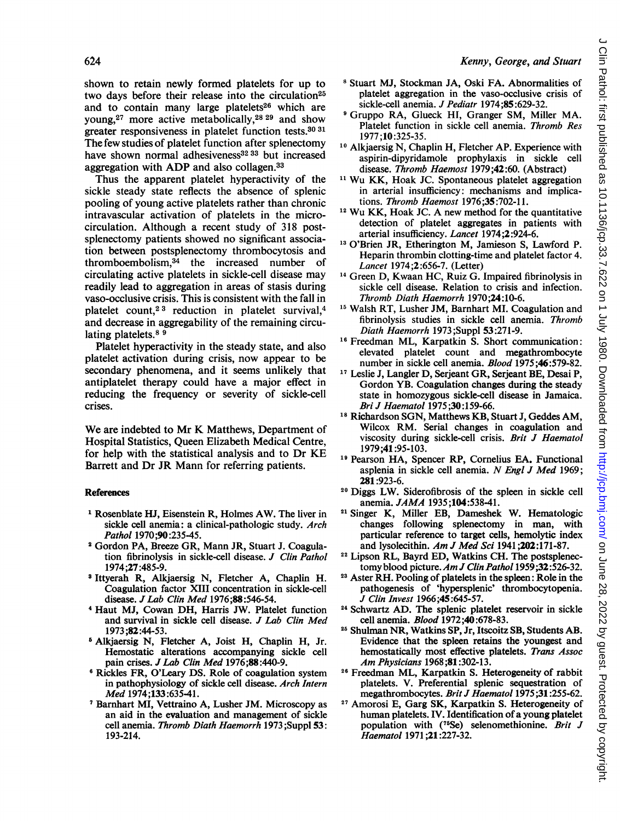#### 624 Kenny, George, and Stuart

shown to retain newly formed platelets for up to two days before their release into the circulation<sup>25</sup> and to contain many large platelets<sup>26</sup> which are young,27 more active metabolically,28 <sup>29</sup> and show greater responsiveness in platelet function tests.30 31 The few studies of platelet function after splenectomy have shown normal adhesiveness<sup>32</sup><sup>33</sup> but increased aggregation with ADP and also collagen.33

Thus the apparent platelet hyperactivity of the sickle steady state reflects the absence of splenic pooling of young active platelets rather than chronic intravascular activation of platelets in the microcirculation. Although a recent study of 318 postsplenectomy patients showed no significant association between postsplenectomy thrombocytosis and thromboembolism,34 the increased number of circulating active platelets in sickle-cell disease may readily lead to aggregation in areas of stasis during vaso-occlusive crisis. This is consistent with the fall in platelet count,2 <sup>3</sup> reduction in platelet survival,4 and decrease in aggregability of the remaining circulating platelets.<sup>89</sup>

Platelet hyperactivity in the steady state, and also platelet activation during crisis, now appear to be secondary phenomena, and it seems unlikely that antiplatelet therapy could have a major effect in reducing the frequency or severity of sickle-cell crises.

We are indebted to Mr K Matthews, Department of Hospital Statistics, Queen Elizabeth Medical Centre, for help with the statistical analysis and to Dr KE Barrett and Dr JR Mann for referring patients.

#### References

- <sup>1</sup> Rosenblate HJ, Eisenstein R, Holmes AW. The liver in sickle cell anemia: a clinical-pathologic study. Arch Pathol 1970;90:235-45.
- <sup>2</sup> Gordon PA, Breeze GR, Mann JR, Stuart J. Coagulation fibrinolysis in sickle-cell disease. J Clin Pathol 1974;27:485-9.
- <sup>3</sup> Ittyerah R, Alkjaersig N, Fletcher A, Chaplin H. Coagulation factor XIII concentration in sickle-cell disease. JLab Clin Med 1976;88:546-54.
- <sup>4</sup> Haut MJ, Cowan DH, Harris JW. Platelet function and survival in sickle cell disease. J Lab Clin Med 1973 ;82:44-53.
- <sup>6</sup> Alkjaersig N, Fletcher A, Joist H, Chaplin H, Jr. Hemostatic alterations accompanying sickle cell pain crises. J Lab Clin Med 1976;88:440-9.
- <sup>6</sup> Rickles FR, O'Leary DS. Role of coagulation system in pathophysiology of sickle cell disease. Arch Intern Med 1974;133:635-41.
- <sup>7</sup> Barnhart MI, Vettraino A, Lusher JM. Microscopy as an aid in the evaluation and management of sickle cell anemia. Thromb Diath Haemorrh 1973 ;Suppl 53: 193-214.
- <sup>8</sup> Stuart MJ, Stockman JA, Oski FA. Abnormalities of platelet aggregation in the vaso-occlusive crisis of sickle-cell anemia. J Pediatr 1974:85:629-32.
- <sup>9</sup> Gruppo RA, Glueck HI, Granger SM, Miller MA. Platelet function in sickle cell anemia. Thromb Res 1977 ;10:325-35.
- <sup>10</sup> Alkjaersig N, Chaplin H, Fletcher AP. Experience with aspirin-dipyridamole prophylaxis in sickle cell disease. Thromb Haemost 1979;42:60. (Abstract)
- <sup>11</sup> Wu KK, Hoak JC. Spontaneous platelet aggregation in arterial insufficiency: mechanisms and implications. Thromb Haemost 1976;35:702-11.
- <sup>12</sup> Wu KK, Hoak JC. A new method for the quantitative detection of platelet aggregates in patients with arterial insufficiency. Lancet 1974;2:924-6.
- <sup>13</sup> O'Brien JR, Etherington M, Jamieson S, Lawford P. Heparin thrombin clotting-time and platelet factor 4. Lancet 1974;2:656-7. (Letter)
- <sup>14</sup> Green D, Kwaan HC, Ruiz G. Impaired fibrinolysis in sickle cell disease. Relation to crisis and infection. Thromb Diath Haemorrh 1970;24:10-6.
- <sup>15</sup> Walsh RT, Lusher JM, Barnhart MI. Coagulation and fibrinolysis studies in sickle cell anemia. Thromb Diath Haemorrh 1973 ;Suppl 53 :271-9.
- <sup>16</sup> Freedman ML, Karpatkin S. Short communication: elevated platelet count and megathrombocyte number in sickle cell anemia. Blood 1975;46:579-82.
- <sup>17</sup> Leslie J, Langler D, Serjeant GR, Serjeant BE, Desai P, Gordon YB. Coagulation changes during the steady state in homozygous sickle-cell disease in Jamaica. Bri J Haematol 1975 ;30:159-66.
- <sup>18</sup> Richardson SGN, Matthews KB, Stuart J, Geddes AM, Wilcox RM. Serial changes in coagulation and viscosity during sickle-cell crisis. Brit J Haematol 1979;41 :95-103.
- <sup>19</sup> Pearson HA, Spencer RP, Cornelius EA. Functional asplenia in sickle cell anemia. N Engl J Med 1969; 281:923-6.
- <sup>20</sup> Diggs LW. Siderofibrosis of the spleen in sickle cell anemia. JAMA 1935;104:538-41.
- <sup>21</sup> Singer K, Miller EB, Dameshek W. Hematologic changes following splenectomy in man, with particular reference to target cells, hemolytic index and lysolecithin. Am J Med Sci 1941;202:171-87.
- <sup>22</sup> Lipson RL, Bayrd ED, Watkins CH. The postsplenectomyblood picture. AmJ Clin Pathol 1959;32:526-32.
- <sup>23</sup> Aster RH. Pooling of platelets in the spleen: Role in the pathogenesis of 'hypersplenic' thrombocytopenia. J Clin Invest 1966;45:645-57.
- <sup>24</sup> Schwartz AD. The splenic platelet reservoir in sickle cell anemia. Blood 1972;40 :678-83.
- <sup>25</sup> Shulman NR, Watkins SP, Jr, Itscoitz SB, Students AB. Evidence that the spleen retains the youngest and hemostatically most effective platelets. Trans Assoc Am Physicians <sup>1968</sup> ;81:302-13.
- <sup>26</sup> Freedman ML, Karpatkin S. Heterogeneity of rabbit platelets. V. Preferential splenic sequestration of megathrombocytes. Brit J Haematol 1975;31:255-62.
- <sup>27</sup> Amorosi E, Garg SK, Karpatkin S. Heterogeneity of human platelets. IV. Identification of a young platelet population with (75Se) selenomethionine. Brit J Haematol 1971;21:227-32.